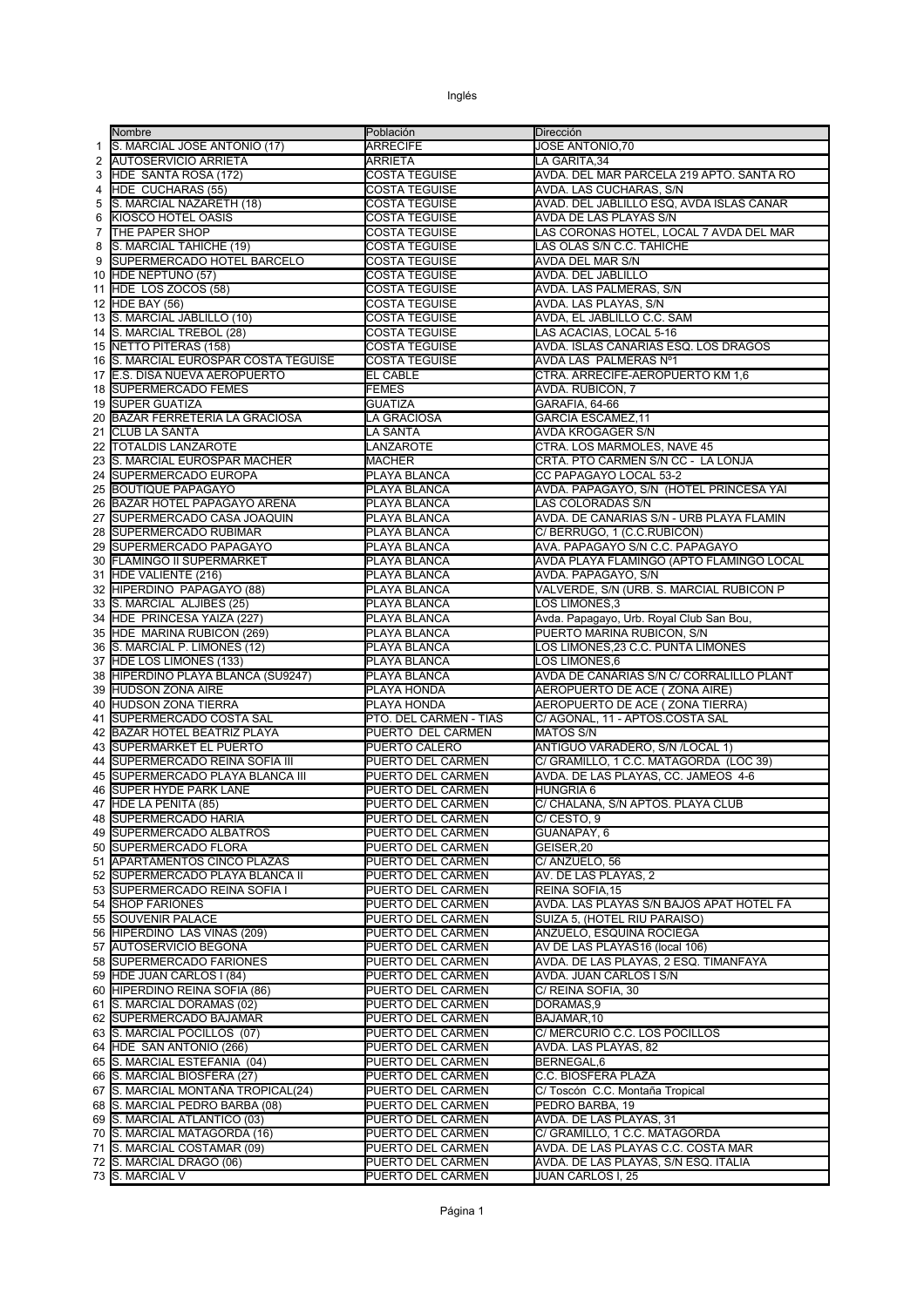|    | Nombre                                | Población              | Dirección                                |
|----|---------------------------------------|------------------------|------------------------------------------|
| 1  | S. MARCIAL JOSE ANTONIO (17)          | <b>ARRECIFE</b>        | JOSE ANTONIO,70                          |
| 2  | <b>AUTOSERVICIO ARRIETA</b>           | <b>ARRIETA</b>         | LA GARITA, 34                            |
| 3  | HDE SANTA ROSA (172)                  | <b>COSTA TEGUISE</b>   | AVDA. DEL MAR PARCELA 219 APTO. SANTA RO |
| 4  | HDE CUCHARAS (55)                     | <b>COSTA TEGUISE</b>   | AVDA. LAS CUCHARAS, S/N                  |
| 5  | S. MARCIAL NAZARETH (18)              | COSTA TEGUISE          | AVAD. DEL JABLILLO ESQ, AVDA ISLAS CANAR |
| 6  | KIOSCO HOTEL OASIS                    | COSTA TEGUISE          | AVDA DE LAS PLAYAS S/N                   |
| 7  | <b>THE PAPER SHOP</b>                 | <b>COSTA TEGUISE</b>   | LAS CORONAS HOTEL, LOCAL 7 AVDA DEL MAR  |
| 8  | S. MARCIAL TAHICHE (19)               | COSTA TEGUISE          | LAS OLAS S/N C.C. TAHICHE                |
| 9  | <b>SUPERMERCADO HOTEL BARCELO</b>     | COSTA TEGUISE          | AVDA DEL MAR S/N                         |
| 10 | HDE NEPTUNO (57)                      | COSTA TEGUISE          | <b>AVDA. DEL JABLILLO</b>                |
| 11 | HDE LOS ZOCOS (58)                    | <b>COSTA TEGUISE</b>   | AVDA. LAS PALMERAS, S/N                  |
|    | 12 HDE BAY (56)                       | COSTA TEGUISE          | AVDA. LAS PLAYAS, S/N                    |
| 13 | S. MARCIAL JABLILLO (10)              | <b>COSTA TEGUISE</b>   | AVDA, EL JABLILLO C.C. SAM               |
|    | 14 S. MARCIAL TREBOL (28)             | <b>COSTA TEGUISE</b>   | LAS ACACIAS, LOCAL 5-16                  |
|    | 15 NETTO PITERAS (158)                | <b>COSTA TEGUISE</b>   | AVDA. ISLAS CANARIAS ESQ. LOS DRAGOS     |
|    | 16 S. MARCIAL EUROSPAR COSTA TEGUISE  | COSTA TEGUISE          | AVDA LAS PALMERAS Nº1                    |
| 17 | E.S. DISA NUEVA AEROPUERTO            | <b>EL CABLE</b>        | CTRA. ARRECIFE-AEROPUERTO KM 1,6         |
|    | <b>18 ISUPERMERCADO FEMES</b>         | FEMES                  | AVDA. RUBICON, 7                         |
| 19 | <b>SUPER GUATIZA</b>                  | <b>GUATIZA</b>         | GARAFIA, 64-66                           |
| 20 | <b>BAZAR FERRETERIA LA GRACIOSA</b>   | LA GRACIOSA            | <b>GARCIA ESCAMEZ,11</b>                 |
|    | 21 CLUB LA SANTA                      | LA SANTA               | AVDA KROGAGER S/N                        |
|    | 22  TOTALDIS LANZAROTE                | LANZAROTE              | CTRA. LOS MARMOLES, NAVE 45              |
| 23 | S. MARCIAL EUROSPAR MACHER            | <b>MACHER</b>          | CRTA. PTO CARMEN S/N CC - LA LONJA       |
| 24 | <b>SUPERMERCADO EUROPA</b>            | PLAYA BLANCA           | CC PAPAGAYO LOCAL 53-2                   |
| 25 | <b>BOUTIQUE PAPAGAYO</b>              | PLAYA BLANCA           | AVDA. PAPAGAYO, S/N (HOTEL PRINCESA YAI  |
| 26 | BAZAR HOTEL PAPAGAYO ARENA            | PLAYA BLANCA           | LAS COLORADAS S/N                        |
| 27 | <b>SUPERMERCADO CASA JOAQUIN</b>      | PLAYA BLANCA           | AVDA. DE CANARIAS S/N - URB PLAYA FLAMIN |
|    | 28 SUPERMERCADO RUBIMAR               | PLAYA BLANCA           | C/BERRUGO, 1 (C.C.RUBICÓN)               |
| 29 | <b>ISUPERMERCADO PAPAGAYO</b>         | PLAYA BLANCA           | AVA. PAPAGAYO S/N C.C. PAPAGAYO          |
| 30 | <b>FLAMINGO II SUPERMARKET</b>        | PLAYA BLANCA           | AVDA PLAYA FLAMINGO (APTO FLAMINGO LOCAL |
|    | 31 HDE VALIENTE (216)                 | PLAYA BLANCA           | AVDA. PAPAGAYO, S/N                      |
| 32 | HIPERDINO PAPAGAYO (88)               | PLAYA BLANCA           | VALVERDE, S/N (URB. S. MARCIAL RUBICON P |
| 33 | S. MARCIAL ALJIBES (25)               | PLAYA BLANCA           | LOS LIMONES, 3                           |
|    | 34 HDE PRINCESA YAIZA (227)           | PLAYA BLANCA           | Avda. Papagayo, Urb. Royal Club San Bou, |
|    | 35 HDE MARINA RUBICON (269)           | PLAYA BLANCA           | PUERTO MARINA RUBICON, S/N               |
| 36 | S. MARCIAL P. LIMONES (12)            | PLAYA BLANCA           | LOS LIMONES,23 C.C. PUNTA LIMONES        |
| 37 | HDE LOS LIMONES (133)                 | PLAYA BLANCA           | LOS LIMONES,6                            |
|    | 38 HIPERDINO PLAYA BLANCA (SU9247)    | PLAYA BLANCA           | AVDA DE CANARIAS S/N C/ CORRALILLO PLANT |
| 39 | <b>HUDSON ZONA AIRE</b>               | PLAYA HONDA            | AEROPUERTO DE ACE (ZONA AIRE)            |
| 40 | <b>HUDSON ZONA TIERRA</b>             | PLAYA HONDA            | AEROPUERTO DE ACE (ZONA TIERRA)          |
| 41 | SUPERMERCADO COSTA SAL                | PTO. DEL CARMEN - TIAS | C/ AGONAL, 11 - APTOS.COSTA SAL          |
|    | 42 BAZAR HOTEL BEATRIZ PLAYA          | PUERTO DEL CARMEN      | <b>MATOS S/N</b>                         |
|    | 43 SUPERMARKET EL PUERTO              | PUERTO CALERO          | ANTIGUO VARADERO, S/N /LOCAL 1)          |
|    | 44 ISUPERMERCADO REINA SOFIA III      | PUERTO DEL CARMEN      | C/ GRAMILLO, 1 C.C. MATAGORDA (LOC 39)   |
| 45 | <b>ISUPERMERCADO PLAYA BLANCA III</b> | PUERTO DEL CARMEN      | AVDA. DE LAS PLAYAS, CC. JAMEOS 4-6      |
| 46 | <b>SUPER HYDE PARK LANE</b>           | PUERTO DEL CARMEN      | <b>HUNGRIA 6</b>                         |
| 47 | HDE LA PEÑITA (85)                    | PUERTO DEL CARMEN      | C/ CHALANA, S/N APTOS. PLAYA CLUB        |
|    | 48 ISUPERMERCADO HARIA                | PUERTO DEL CARMEN      | C/ CESTO, 9                              |
|    | 49 SUPERMERCADO ALBATROS              | PUERTO DEL CARMEN      | GUANAPAY, 6                              |
|    | 50 SUPERMERCADO FLORA                 | PUERTO DEL CARMEN      | GEISER,20                                |
|    | 51 APARTAMENTOS CINCO PLAZAS          | PUERTO DEL CARMEN      | C/ ANZUELO, 56                           |
|    | 52 SUPERMERCADO PLAYA BLANCA II       | PUERTO DEL CARMEN      | AV. DE LAS PLAYAS, 2                     |
|    | 53 SUPERMERCADO REINA SOFIA I         | PUERTO DEL CARMEN      | REINA SOFIA, 15                          |
|    | 54 SHOP FARIONES                      | PUERTO DEL CARMEN      | AVDA. LAS PLAYAS S/N BAJOS APAT HOTEL FA |
|    | 55 SOUVENIR PALACE                    | PUERTO DEL CARMEN      | SUIZA 5, (HOTEL RIU PARAISO)             |
|    | 56 HIPERDINO LAS VIÑAS (209)          | PUERTO DEL CARMEN      | ANZUELO, ESQUINA ROCIEGA                 |
|    | 57 AUTOSERVICIO BEGOÑA                | PUERTO DEL CARMEN      | AV DE LAS PLAYAS16 (local 106)           |
|    | 58 SUPERMERCADO FARIONES              | PUERTO DEL CARMEN      | AVDA. DE LAS PLAYAS, 2 ESQ. TIMANFAYA    |
|    | 59 HDE JUAN CARLOS I (84)             | PUERTO DEL CARMEN      | AVDA. JUAN CARLOS I S/N                  |
|    | 60 HIPERDINO REINA SOFIA (86)         | PUERTO DEL CARMEN      | C/ REINA SOFIA, 30                       |
|    | 61 S. MARCIAL DORAMAS (02)            | PUERTO DEL CARMEN      | DORAMAS,9                                |
|    | 62 SUPERMERCADO BAJAMAR               | PUERTO DEL CARMEN      | BAJAMAR, 10                              |
|    | 63 S. MARCIAL POCILLOS (07)           | PUERTO DEL CARMEN      | C/ MERCURIO C.C. LOS POCILLOS            |
|    | 64 HDE SAN ANTONIO (266)              | PUERTO DEL CARMEN      | AVDA. LAS PLAYAS, 82                     |
|    | 65 S. MARCIAL ESTEFANIA (04)          | PUERTO DEL CARMEN      | BERNEGAL,6                               |
|    | 66 S. MARCIAL BIOSFERA (27)           | PUERTO DEL CARMEN      | C.C. BIOSFERA PLAZA                      |
|    | 67 S. MARCIAL MONTAÑA TROPICAL(24)    | PUERTO DEL CARMEN      | C/ Toscón C.C. Montaña Tropical          |
|    | 68 S. MARCIAL PEDRO BARBA (08)        | PUERTO DEL CARMEN      | PEDRO BARBA, 19                          |
|    | 69 S. MARCIAL ATLANTICO (03)          | PUERTO DEL CARMEN      | AVDA. DE LAS PLAYAS, 31                  |
|    | 70 S. MARCIAL MATAGORDA (16)          | PUERTO DEL CARMEN      | C/ GRAMILLO, 1 C.C. MATAGORDA            |
|    | 71 S. MARCIAL COSTAMAR (09)           | PUERTO DEL CARMEN      | AVDA. DE LAS PLAYAS C.C. COSTA MAR       |
|    | 72 S. MARCIAL DRAGO (06)              | PUERTO DEL CARMEN      | AVDA. DE LAS PLAYAS, S/N ESQ. ITALIA     |
|    | 73 S. MARCIAL V                       | PUERTO DEL CARMEN      | JUAN CARLOS I, 25                        |